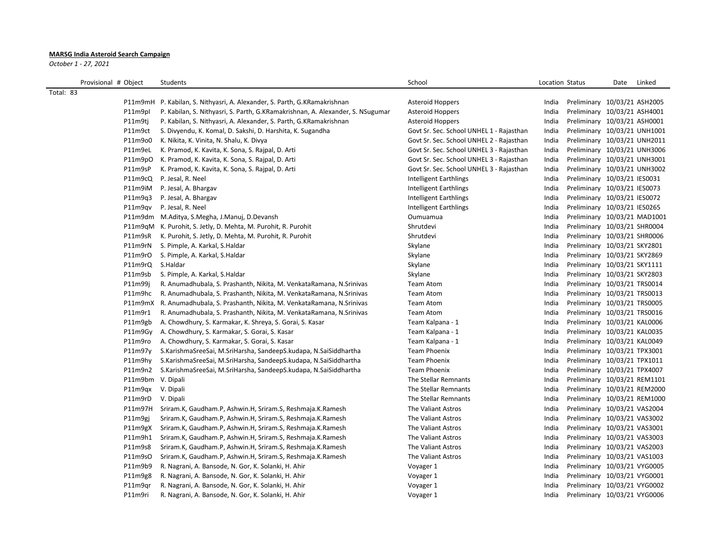## **MARSG India Asteroid Search Campaign**

*October 1 - 27, 2021*

Provisional # Object Students School Date Linked School School School Location Status Date Linked Total: 83 P11m9mH P. Kabilan, S. Nithyasri, A. Alexander, S. Parth, G.KRamakrishnan Asteroid Hoppers India Preliminary 10/03/21 ASH2005 P11m9pI P. Kabilan, S. Nithyasri, S. Parth, G.KRamakrishnan, A. Alexander, S. NSugumar Asteroid Hoppers India Preliminary 10/03/21 ASH4001 P11m9tj P. Kabilan, S. Nithyasri, A. Alexander, S. Parth, G.KRamakrishnan Asteroid Hoppers Steroid Hoppers Preliminary 10/03/21 ASH0001 P11m9ct S. Divyendu, K. Komal, D. Sakshi, D. Harshita, K. Sugandha Govt Sr. Sec. School UNHEL 1 - Rajasthan India Preliminary 10/03/21 UNH1001 P11m9o0 K. Nikita, K. Vinita, N. Shalu, K. Divya Govt Sr. Sec. School UNHEL 2 - Rajasthan India Preliminary 10/03/21 UNH2011 P11m9eL K. Pramod, K. Kavita, K. Sona, S. Rajpal, D. Arti Strate States Covers Covers Covers C. School UNHEL 3 - Rajasthan India Preliminary 10/03/21 UNH3006 P11m9pO K. Pramod, K. Kavita, K. Sona, S. Rajpal, D. Arti Santi Santi Govt Sr. Sec. School UNHEL 3 - Rajasthan India Preliminary 10/03/21 UNH3001 P11m9sP K. Pramod, K. Kavita, K. Sona, S. Rajpal, D. Arti Sang States Coverses Covers Covers C. School UNHEL 3 - Rajasthan India Preliminary 10/03/21 UNH3002 P11m9cQ P. Jesal, R. Neel Intelligent Earthlings India Preliminary 10/03/21 IES0031 P11m9iM P. Jesal, A. Bhargav **Intelligent Earthlings** Intelligent Earthlings India Preliminary 10/03/21 IES0073 P11m9q3 P. Jesal, A. Bhargav **Intelligent Earthlings** Intelligent Earthlings India Preliminary 10/03/21 IES0072 P11m9qv P. Jesal, R. Neel **Intelligent Earthlings** Intelligent Earthlings **India Preliminary 10/03/21 IES0265** P11m9dm M.Aditya, S.Megha, J.Manuj, D.Devansh **Camerana India Preliminary 10/03/21 MAD1001** Preliminary 10/03/21 MAD1001 P11m9qM K. Purohit, S. Jetly, D. Mehta, M. Purohit, R. Purohit N. Purohit Shrutdevi Shrutdevi Shrutdevi India Preliminary 10/03/21 SHR0004 P11m9sR K. Purohit, S. Jetly, D. Mehta, M. Purohit, R. Purohit Natural Shrutdevi Shrutdevi Shrutdevi Shrutdevi Shrutdevi Shrutdevi Shrutdevi Shrutdevi Shrutdevi Shrutdevi Shrutdevi Shrutdevi Shrutdevi Shrutdevi Shrutdevi S P11m9rN S. Pimple, A. Karkal, S. Haldar Skylane Skylane Skylane Skylane Skylane India Preliminary 10/03/21 SKY2801 P11m9rO S. Pimple, A. Karkal, S.Haldar Samus And Skylane Skylane Skylane Skylane States and the University 10/03/21 SKY2869 P11m9rQ S.Haldar Samus and Skylane S.Haldar S.Haldar S.Haldar S.Haldar S.Haldar S.Haldar S.Haldar S.Haldar S.H P11m9sb S. Pimple, A. Karkal, S.Haldar Samus And Skylane Skylane Skylane Skylane States and the Preliminary 10/03/21 SKY2803 P11m99j R. Anumadhubala, S. Prashanth, Nikita, M. VenkataRamana, N.Srinivas Team Atom India Preliminary 10/03/21 TRS0014 P11m9hc R. Anumadhubala, S. Prashanth, Nikita, M. VenkataRamana, N.Srinivas Team Atom India Preliminary 10/03/21 TRS0013 P11m9mX R. Anumadhubala, S. Prashanth, Nikita, M. VenkataRamana, N.Srinivas Team Atom India Preliminary 10/03/21 TRS0005 P11m9r1 R. Anumadhubala, S. Prashanth, Nikita, M. VenkataRamana, N.Srinivas Team Atom India Preliminary 10/03/21 TRS0016 P11m9gb A. Chowdhury, S. Karmakar, K. Shreya, S. Gorai, S. Kasar Team Team Kalpana - 1 Team Kalpana - 1 India Preliminary 10/03/21 KAL0006 P11m9Gy A. Chowdhury, S. Karmakar, S. Gorai, S. Kasar Team Team Kalpana - 1 Team Kalpana - 1 India Preliminary 10/03/21 KAL0035 P11m9ro A. Chowdhury, S. Karmakar, S. Gorai, S. Kasar Team Team Kalpana - 1 Team Kalpana - 1 India Preliminary 10/03/21 KAL0049 P11m97y S.KarishmaSreeSai, M.SriHarsha, SandeepS.kudapa, N.SaiSiddhartha Team Phoenix India Preliminary 10/03/21 TPX3001 P11m9hy S.KarishmaSreeSai, M.SriHarsha, SandeepS.kudapa, N.SaiSiddhartha Team Phoenix India Preliminary 10/03/21 TPX1011 P11m9n2 S.KarishmaSreeSai, M.SriHarsha, SandeepS.kudapa, N.SaiSiddhartha Team Phoenix India Preliminary 10/03/21 TPX4007 P11m9bm V. Dipali **Philar Remains India Preliminary 10/03/21 REM1101** The Stellar Remnants **Preliminary 10/03/21 REM1101** P11m9qx V. Dipali 20/03/21 REM2000 P11m9qx V. Dipali The Stellar Remnants Changes and The Stellar Remnants Changes and The Stellar Remnants Changes and The Stellar Remnants Changes and The Stellar Remnants Changes and The P11m9rD V. Dipali 20/03/21 REM1000 P11m9rD V. Dipali The Stellar Remnants Changes and The Stellar Remnants Changes and The Stellar Remnants Changes and Dipality Changes and The Stellar Remnants Changes and Dipality Changes P11m97H Sriram.K, Gaudham.P, Ashwin.H, Sriram.S, Reshmaja.K.Ramesh The Valiant Astros India Preliminary 10/03/21 VAS2004 P11m9gj Sriram.K, Gaudham.P, Ashwin.H, Sriram.S, Reshmaja.K.Ramesh The Valiant Astros India Preliminary 10/03/21 VAS3002 P11m9gX Sriram.K, Gaudham.P, Ashwin.H, Sriram.S, Reshmaja.K.Ramesh The Valiant Astros India Preliminary 10/03/21 VAS3001 P11m9h1 Sriram.K, Gaudham.P, Ashwin.H, Sriram.S, Reshmaja.K.Ramesh The Valiant Astros India Preliminary 10/03/21 VAS3003 P11m9s8 Sriram.K, Gaudham.P, Ashwin.H, Sriram.S, Reshmaja.K.Ramesh The Valiant Astros India Preliminary 10/03/21 VAS2003 P11m9sO Sriram.K, Gaudham.P, Ashwin.H, Sriram.S, Reshmaja.K.Ramesh The Valiant Astros India Preliminary 10/03/21 VAS1003 P11m9b9 R. Nagrani, A. Bansode, N. Gor, K. Solanki, H. Ahir Vowager 1 Voyager 1 India Preliminary 10/03/21 VYG0005 P11m9g8 R. Nagrani, A. Bansode, N. Gor, K. Solanki, H. Ahir Vower 1 Voyager 1 Voyager 1 Preliminary 10/03/21 VYG0001 P11m9qr R. Nagrani, A. Bansode, N. Gor, K. Solanki, H. Ahir Vower 1 Voyager 1 Voyager 1 Preliminary 10/03/21 VYG0002 P11m9ri R. Nagrani, A. Bansode, N. Gor, K. Solanki, H. Ahir Vowager 1 Voyager 1 India Preliminary 10/03/21 VYG0006